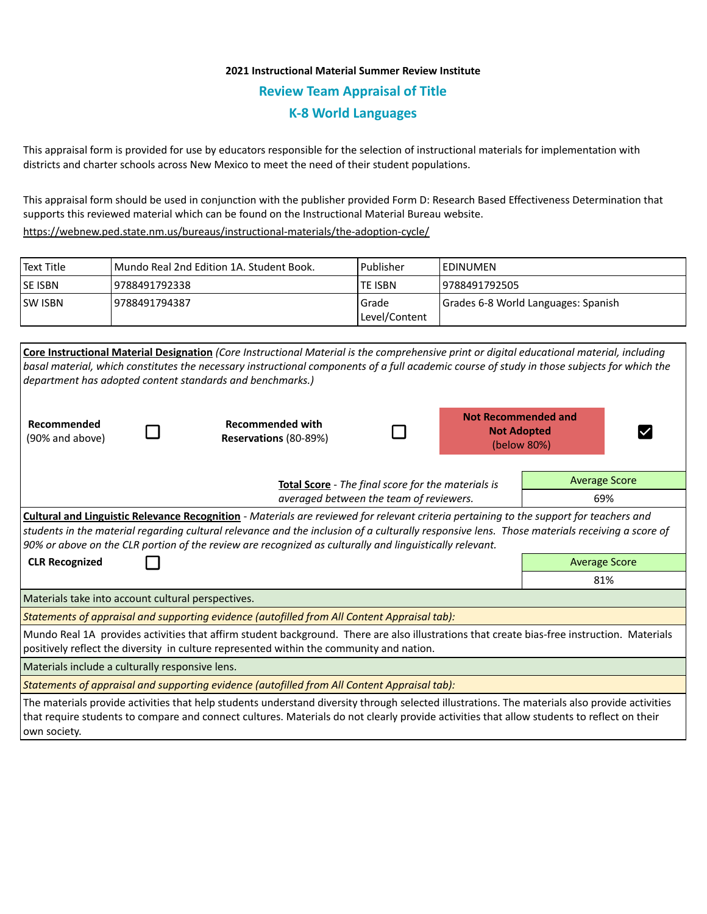## **2021 Instructional Material Summer Review Institute Review Team Appraisal of Title K-8 World Languages**

This appraisal form is provided for use by educators responsible for the selection of instructional materials for implementation with districts and charter schools across New Mexico to meet the need of their student populations.

This appraisal form should be used in conjunction with the publisher provided Form D: Research Based Effectiveness Determination that supports this reviewed material which can be found on the Instructional Material Bureau website.

<https://webnew.ped.state.nm.us/bureaus/instructional-materials/the-adoption-cycle/>

| Text Title     | Mundo Real 2nd Edition 1A. Student Book. | Publisher              | <b>IEDINUMEN</b>                    |
|----------------|------------------------------------------|------------------------|-------------------------------------|
| <b>SE ISBN</b> | 19788491792338                           | <b>TE ISBN</b>         | 19788491792505                      |
| <b>SW ISBN</b> | 9788491794387                            | Grade<br>Level/Content | Grades 6-8 World Languages: Spanish |

|                                                                                                                                                                                                                                                                                                                                                                                                            |                                         | <b>Core Instructional Material Designation</b> (Core Instructional Material is the comprehensive print or digital educational material, including<br>basal material, which constitutes the necessary instructional components of a full academic course of study in those subjects for which the<br>department has adopted content standards and benchmarks.) |  |                                                  |                      |  |  |  |  |
|------------------------------------------------------------------------------------------------------------------------------------------------------------------------------------------------------------------------------------------------------------------------------------------------------------------------------------------------------------------------------------------------------------|-----------------------------------------|---------------------------------------------------------------------------------------------------------------------------------------------------------------------------------------------------------------------------------------------------------------------------------------------------------------------------------------------------------------|--|--------------------------------------------------|----------------------|--|--|--|--|
| Recommended<br>(90% and above)                                                                                                                                                                                                                                                                                                                                                                             |                                         | <b>Recommended with</b><br>Reservations (80-89%)                                                                                                                                                                                                                                                                                                              |  | <b>Not Recommended and</b><br><b>Not Adopted</b> | (below 80%)          |  |  |  |  |
|                                                                                                                                                                                                                                                                                                                                                                                                            |                                         | <b>Total Score</b> - The final score for the materials is                                                                                                                                                                                                                                                                                                     |  |                                                  | <b>Average Score</b> |  |  |  |  |
|                                                                                                                                                                                                                                                                                                                                                                                                            | averaged between the team of reviewers. |                                                                                                                                                                                                                                                                                                                                                               |  |                                                  | 69%                  |  |  |  |  |
| <b>Cultural and Linguistic Relevance Recognition</b> - Materials are reviewed for relevant criteria pertaining to the support for teachers and<br>students in the material regarding cultural relevance and the inclusion of a culturally responsive lens. Those materials receiving a score of<br>90% or above on the CLR portion of the review are recognized as culturally and linguistically relevant. |                                         |                                                                                                                                                                                                                                                                                                                                                               |  |                                                  |                      |  |  |  |  |
| <b>CLR Recognized</b>                                                                                                                                                                                                                                                                                                                                                                                      | <b>Average Score</b>                    |                                                                                                                                                                                                                                                                                                                                                               |  |                                                  |                      |  |  |  |  |
|                                                                                                                                                                                                                                                                                                                                                                                                            |                                         | 81%                                                                                                                                                                                                                                                                                                                                                           |  |                                                  |                      |  |  |  |  |
| Materials take into account cultural perspectives.                                                                                                                                                                                                                                                                                                                                                         |                                         |                                                                                                                                                                                                                                                                                                                                                               |  |                                                  |                      |  |  |  |  |
| Statements of appraisal and supporting evidence (autofilled from All Content Appraisal tab):                                                                                                                                                                                                                                                                                                               |                                         |                                                                                                                                                                                                                                                                                                                                                               |  |                                                  |                      |  |  |  |  |
| Mundo Real 1A provides activities that affirm student background. There are also illustrations that create bias-free instruction. Materials<br>positively reflect the diversity in culture represented within the community and nation.                                                                                                                                                                    |                                         |                                                                                                                                                                                                                                                                                                                                                               |  |                                                  |                      |  |  |  |  |
| Materials include a culturally responsive lens.                                                                                                                                                                                                                                                                                                                                                            |                                         |                                                                                                                                                                                                                                                                                                                                                               |  |                                                  |                      |  |  |  |  |
| Statements of appraisal and supporting evidence (autofilled from All Content Appraisal tab):                                                                                                                                                                                                                                                                                                               |                                         |                                                                                                                                                                                                                                                                                                                                                               |  |                                                  |                      |  |  |  |  |
| The materials provide activities that help students understand diversity through selected illustrations. The materials also provide activities<br>that require students to compare and connect cultures. Materials do not clearly provide activities that allow students to reflect on their<br>own society.                                                                                               |                                         |                                                                                                                                                                                                                                                                                                                                                               |  |                                                  |                      |  |  |  |  |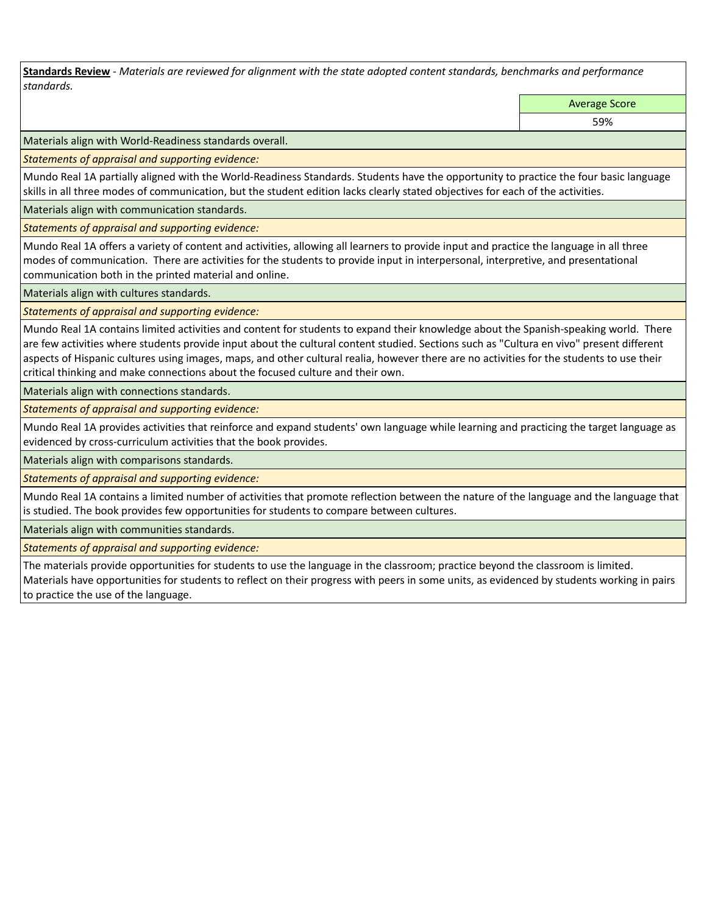**Standards Review** *- Materials are reviewed for alignment with the state adopted content standards, benchmarks and performance standards.*

Average Score

59%

Materials align with World-Readiness standards overall.

*Statements of appraisal and supporting evidence:* 

Mundo Real 1A partially aligned with the World-Readiness Standards. Students have the opportunity to practice the four basic language skills in all three modes of communication, but the student edition lacks clearly stated objectives for each of the activities.

Materials align with communication standards.

*Statements of appraisal and supporting evidence:* 

Mundo Real 1A offers a variety of content and activities, allowing all learners to provide input and practice the language in all three modes of communication. There are activities for the students to provide input in interpersonal, interpretive, and presentational communication both in the printed material and online.

Materials align with cultures standards.

*Statements of appraisal and supporting evidence:* 

Mundo Real 1A contains limited activities and content for students to expand their knowledge about the Spanish-speaking world. There are few activities where students provide input about the cultural content studied. Sections such as "Cultura en vivo" present different aspects of Hispanic cultures using images, maps, and other cultural realia, however there are no activities for the students to use their critical thinking and make connections about the focused culture and their own.

Materials align with connections standards.

*Statements of appraisal and supporting evidence:* 

Mundo Real 1A provides activities that reinforce and expand students' own language while learning and practicing the target language as evidenced by cross-curriculum activities that the book provides.

Materials align with comparisons standards.

*Statements of appraisal and supporting evidence:* 

Mundo Real 1A contains a limited number of activities that promote reflection between the nature of the language and the language that is studied. The book provides few opportunities for students to compare between cultures.

Materials align with communities standards.

*Statements of appraisal and supporting evidence:* 

The materials provide opportunities for students to use the language in the classroom; practice beyond the classroom is limited. Materials have opportunities for students to reflect on their progress with peers in some units, as evidenced by students working in pairs to practice the use of the language.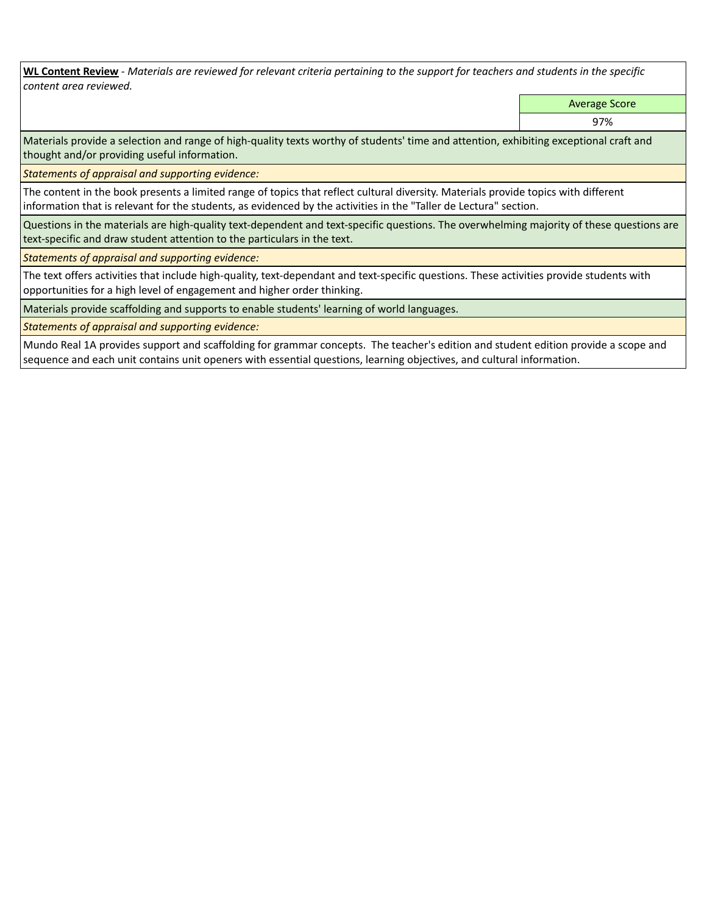**WL Content Review** *- Materials are reviewed for relevant criteria pertaining to the support for teachers and students in the specific content area reviewed.*

Average Score

97%

Materials provide a selection and range of high-quality texts worthy of students' time and attention, exhibiting exceptional craft and thought and/or providing useful information.

*Statements of appraisal and supporting evidence:* 

The content in the book presents a limited range of topics that reflect cultural diversity. Materials provide topics with different information that is relevant for the students, as evidenced by the activities in the "Taller de Lectura" section.

Questions in the materials are high-quality text-dependent and text-specific questions. The overwhelming majority of these questions are text-specific and draw student attention to the particulars in the text.

*Statements of appraisal and supporting evidence:* 

The text offers activities that include high-quality, text-dependant and text-specific questions. These activities provide students with opportunities for a high level of engagement and higher order thinking.

Materials provide scaffolding and supports to enable students' learning of world languages.

*Statements of appraisal and supporting evidence:* 

Mundo Real 1A provides support and scaffolding for grammar concepts. The teacher's edition and student edition provide a scope and sequence and each unit contains unit openers with essential questions, learning objectives, and cultural information.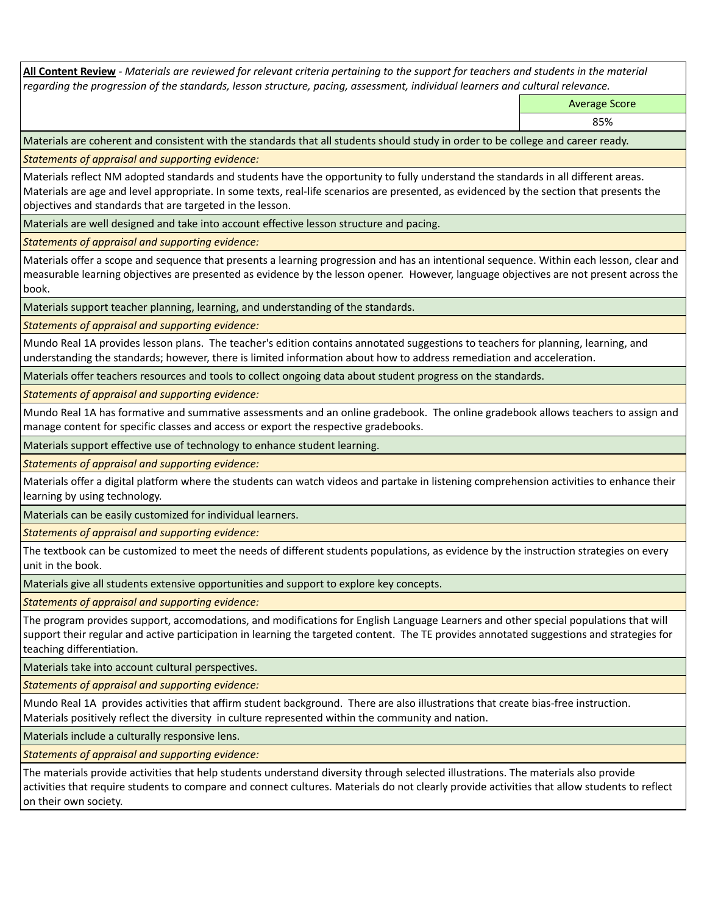**All Content Review** *- Materials are reviewed for relevant criteria pertaining to the support for teachers and students in the material regarding the progression of the standards, lesson structure, pacing, assessment, individual learners and cultural relevance.*

Average Score

85%

Materials are coherent and consistent with the standards that all students should study in order to be college and career ready.

*Statements of appraisal and supporting evidence:*

Materials reflect NM adopted standards and students have the opportunity to fully understand the standards in all different areas. Materials are age and level appropriate. In some texts, real-life scenarios are presented, as evidenced by the section that presents the objectives and standards that are targeted in the lesson.

Materials are well designed and take into account effective lesson structure and pacing.

*Statements of appraisal and supporting evidence:*

Materials offer a scope and sequence that presents a learning progression and has an intentional sequence. Within each lesson, clear and measurable learning objectives are presented as evidence by the lesson opener. However, language objectives are not present across the book.

Materials support teacher planning, learning, and understanding of the standards.

*Statements of appraisal and supporting evidence:*

Mundo Real 1A provides lesson plans. The teacher's edition contains annotated suggestions to teachers for planning, learning, and understanding the standards; however, there is limited information about how to address remediation and acceleration.

Materials offer teachers resources and tools to collect ongoing data about student progress on the standards.

*Statements of appraisal and supporting evidence:*

Mundo Real 1A has formative and summative assessments and an online gradebook. The online gradebook allows teachers to assign and manage content for specific classes and access or export the respective gradebooks.

Materials support effective use of technology to enhance student learning.

*Statements of appraisal and supporting evidence:*

Materials offer a digital platform where the students can watch videos and partake in listening comprehension activities to enhance their learning by using technology.

Materials can be easily customized for individual learners.

*Statements of appraisal and supporting evidence:* 

The textbook can be customized to meet the needs of different students populations, as evidence by the instruction strategies on every unit in the book.

Materials give all students extensive opportunities and support to explore key concepts.

*Statements of appraisal and supporting evidence:*

The program provides support, accomodations, and modifications for English Language Learners and other special populations that will support their regular and active participation in learning the targeted content. The TE provides annotated suggestions and strategies for teaching differentiation.

Materials take into account cultural perspectives.

*Statements of appraisal and supporting evidence:*

Mundo Real 1A provides activities that affirm student background. There are also illustrations that create bias-free instruction. Materials positively reflect the diversity in culture represented within the community and nation.

Materials include a culturally responsive lens.

*Statements of appraisal and supporting evidence:*

The materials provide activities that help students understand diversity through selected illustrations. The materials also provide activities that require students to compare and connect cultures. Materials do not clearly provide activities that allow students to reflect on their own society.